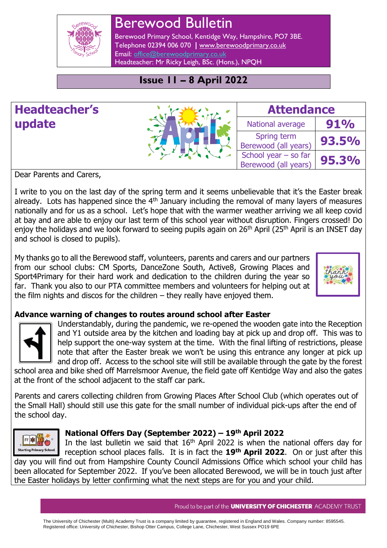

# Berewood Bulletin

Berewood Primary School, Kentidge Way, Hampshire, PO7 3BE. Telephone 02394 006 070 **|** [www.berewoodprimary.co.uk](http://www.berewoodprimary.co.uk/) Email: [office@berewoodprimary.co.uk](mailto:office@berewoodprimary.co.uk) Headteacher: Mr Ricky Leigh, BSc. (Hons.), NPQH

## **Issue 11 – 8 April 2022**

## **Headteacher's update**

| <b>IPF.</b><br>$\blacklozenge$ |
|--------------------------------|
| ÷                              |
|                                |

| <b>Attendance</b>                            |       |  |
|----------------------------------------------|-------|--|
| National average                             | 91%   |  |
| Spring term<br>Berewood (all years)          | 93.5% |  |
| School year – so far<br>Berewood (all years) | 95.3% |  |

Dear Parents and Carers,

I write to you on the last day of the spring term and it seems unbelievable that it's the Easter break already. Lots has happened since the  $4<sup>th</sup>$  January including the removal of many layers of measures nationally and for us as a school. Let's hope that with the warmer weather arriving we all keep covid at bay and are able to enjoy our last term of this school year without disruption. Fingers crossed! Do enjoy the holidays and we look forward to seeing pupils again on 26<sup>th</sup> April (25<sup>th</sup> April is an INSET day and school is closed to pupils).

My thanks go to all the Berewood staff, volunteers, parents and carers and our partners from our school clubs: CM Sports, DanceZone South, Active8, Growing Places and Sport4Primary for their hard work and dedication to the children during the year so far. Thank you also to our PTA committee members and volunteers for helping out at the film nights and discos for the children – they really have enjoyed them.



### **Advance warning of changes to routes around school after Easter**



Understandably, during the pandemic, we re-opened the wooden gate into the Reception and Y1 outside area by the kitchen and loading bay at pick up and drop off. This was to help support the one-way system at the time. With the final lifting of restrictions, please note that after the Easter break we won't be using this entrance any longer at pick up and drop off. Access to the school site will still be available through the gate by the forest school area and bike shed off Marrelsmoor Avenue, the field gate off Kentidge Way and also the gates

at the front of the school adjacent to the staff car park.

Parents and carers collecting children from Growing Places After School Club (which operates out of the Small Hall) should still use this gate for the small number of individual pick-ups after the end of the school day.



#### **National Offers Day (September 2022) – 19th April 2022**

In the last bulletin we said that  $16<sup>th</sup>$  April 2022 is when the national offers day for reception school places falls. It is in fact the **19th April 2022**. On or just after this day you will find out from Hampshire County Council Admissions Office which school your child has been allocated for September 2022. If you've been allocated Berewood, we will be in touch just after the Easter holidays by letter confirming what the next steps are for you and your child.

Proud to be part of the **UNIVERSITY OF CHICHESTER** ACADEMY TRUST

The University of Chichester (Multi) Academy Trust is a company limited by guarantee, registered in England and Wales. Company number: 8595545. Registered office: University of Chichester, Bishop Otter Campus, College Lane, Chichester, West Sussex PO19 6PE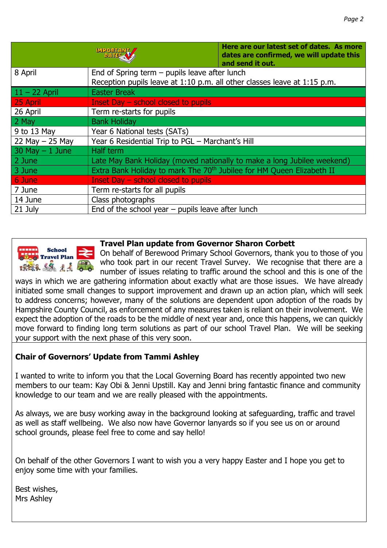|                    | MPORTALL<br>DATIS V                                                               | Here are our latest set of dates. As more<br>dates are confirmed, we will update this<br>and send it out. |  |
|--------------------|-----------------------------------------------------------------------------------|-----------------------------------------------------------------------------------------------------------|--|
| 8 April            | End of Spring term $-$ pupils leave after lunch                                   |                                                                                                           |  |
|                    | Reception pupils leave at 1:10 p.m. all other classes leave at 1:15 p.m.          |                                                                                                           |  |
| $11 - 22$ April    | <b>Easter Break</b>                                                               |                                                                                                           |  |
| 25 April           | Inset Day $-$ school closed to pupils                                             |                                                                                                           |  |
| 26 April           | Term re-starts for pupils                                                         |                                                                                                           |  |
| 2 May              | <b>Bank Holiday</b>                                                               |                                                                                                           |  |
| 9 to 13 May        | Year 6 National tests (SATs)                                                      |                                                                                                           |  |
| 22 May $-$ 25 May  | Year 6 Residential Trip to PGL - Marchant's Hill                                  |                                                                                                           |  |
| $30$ May $-1$ June | Half term                                                                         |                                                                                                           |  |
| 2 June             |                                                                                   | Late May Bank Holiday (moved nationally to make a long Jubilee weekend)                                   |  |
| 3 June             | Extra Bank Holiday to mark The 70 <sup>th</sup> Jubilee for HM Queen Elizabeth II |                                                                                                           |  |
| 6 June             | Inset Day – school closed to pupils                                               |                                                                                                           |  |
| 7 June             | Term re-starts for all pupils                                                     |                                                                                                           |  |
| 14 June            | Class photographs                                                                 |                                                                                                           |  |
| 21 July            | End of the school year $-$ pupils leave after lunch                               |                                                                                                           |  |



#### **Travel Plan update from Governor Sharon Corbett**

On behalf of Berewood Primary School Governors, thank you to those of you who took part in our recent Travel Survey. We recognise that there are a number of issues relating to traffic around the school and this is one of the

ways in which we are gathering information about exactly what are those issues. We have already initiated some small changes to support improvement and drawn up an action plan, which will seek to address concerns; however, many of the solutions are dependent upon adoption of the roads by Hampshire County Council, as enforcement of any measures taken is reliant on their involvement. We expect the adoption of the roads to be the middle of next year and, once this happens, we can quickly move forward to finding long term solutions as part of our school Travel Plan. We will be seeking your support with the next phase of this very soon.

#### **Chair of Governors' Update from Tammi Ashley**

I wanted to write to inform you that the Local Governing Board has recently appointed two new members to our team: Kay Obi & Jenni Upstill. Kay and Jenni bring fantastic finance and community knowledge to our team and we are really pleased with the appointments.

As always, we are busy working away in the background looking at safeguarding, traffic and travel as well as staff wellbeing. We also now have Governor lanyards so if you see us on or around school grounds, please feel free to come and say hello!

On behalf of the other Governors I want to wish you a very happy Easter and I hope you get to enjoy some time with your families.

Best wishes, Mrs Ashley